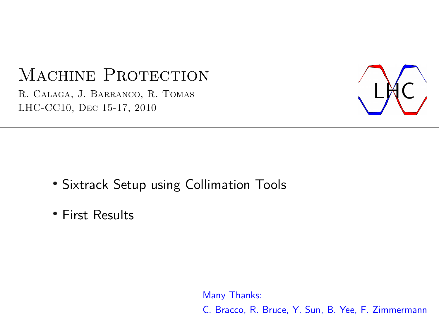# MACHINE PROTECTION

R. Calaga, J. Barranco, R. Tomas LHC-CC10, Dec 15-17, 2010



- Sixtrack Setup using Collimation Tools
- First Results

Many Thanks: C. Bracco, R. Bruce, Y. Sun, B. Yee, F. Zimmermann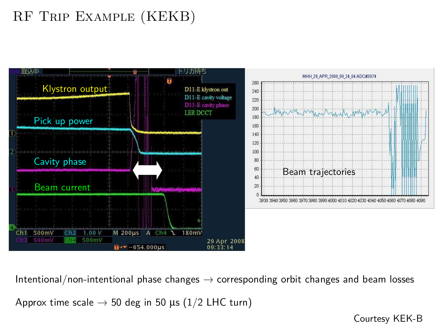## RF Trip Example (KEKB)



Intentional/non-intentional phase changes  $\rightarrow$  corresponding orbit changes and beam losses

Approx time scale  $\rightarrow$  50 deg in 50 µs (1/2 LHC turn)

Courtesy KEK-B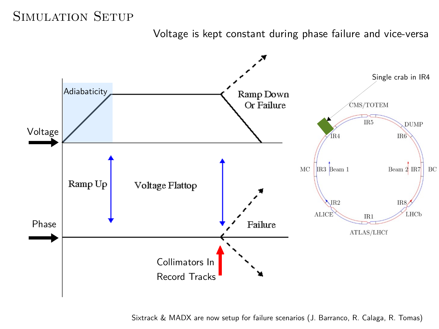#### SIMULATION SETUP

Voltage is kept constant during phase failure and vice-versa



Sixtrack & MADX are now setup for failure scenarios (J. Barranco, R. Calaga, R. Tomas)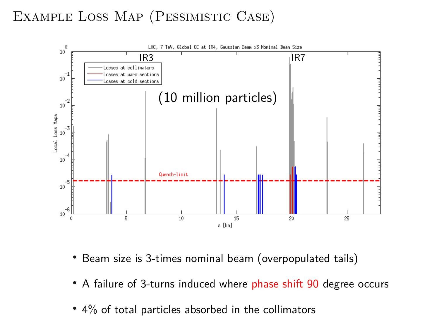### Example Loss Map (Pessimistic Case)



- Beam size is 3-times nominal beam (overpopulated tails)
- A failure of 3-turns induced where phase shift 90 degree occurs
- $\cdot$  4% of total particles absorbed in the collimators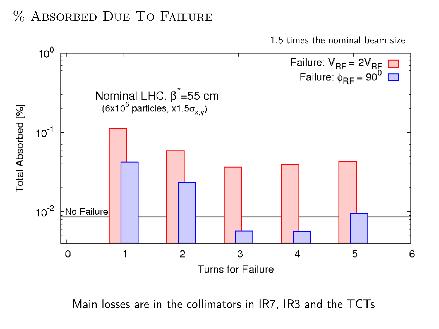#### % Absorbed Due To Failure

1.5 times the nominal beam size



Main losses are in the collimators in IR7, IR3 and the TCTs